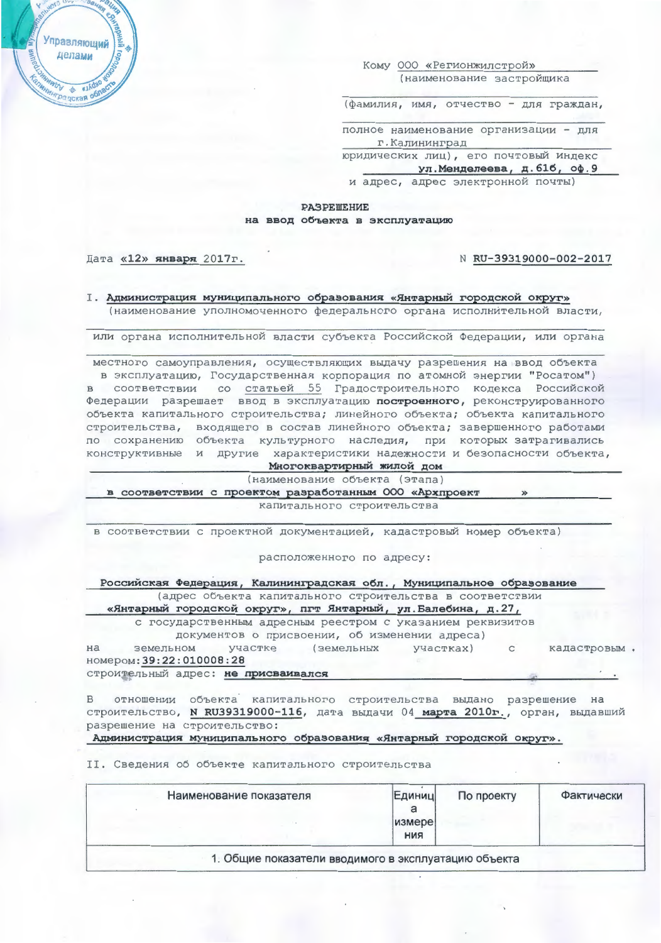Управляющий делами а докал об

Кому 000 «Регионжилстрой» (наименование застройщика

(фамилия, имя, отчество - для граждан,

полное наименование организации - для г. Калининград

юридических лиц), его почтовый индекс

ул. Менделеева, д. 61б, оф. 9

и адрес, адрес электронной почты)

## **PASPEWEHME** на ввод объекта в эксплуатацию

## Дата «12» января 2017г.

## N RU-39319000-002-2017

I. Администрация муниципального образования «Янтарный городской округ» (наименование уполномоченного федерального органа исполнительной власти,

или органа исполнительной власти субъекта Российской Федерации, или органа

местного самоуправления, осуществляющих выдачу разрешения на ввод объекта в эксплуатацию, Государственная корпорация по атомной энергии "Росатом") в соответствии со статьей 55 Градостроительного кодекса Российской Федерации разрешает ввод в эксплуатацию построенного, реконструированного объекта капитального строительства; линейного объекта; объекта капитального строительства, входящего в состав линейного объекта; завершенного работами<br>по сохранению объекта культурного наследия, при которых затрагивались конструктивные и другие характеристики надежности и безопасности объекта,

Многоквартирный жилой дом

(наименование объекта (этапа)

в соответствии с проектом разработанным ООО «Архпроект

капитального строительства

в соответствии с проектной документацией, кадастровый номер объекта)

расположенного по адресу:

Российская Федерация, Калининградская обл., Муниципальное образование (адрес объекта капитального строительства в соответствии

«Янтарный городской округ», пгт Янтарный, ул. Балебина, д. 27,

с государственным адресным реестром с указанием реквизитов документов о присвоении, об изменении адреса)

земельном участке (земельных участках) кадастровым. на  $\mathsf{C}$ номером: 39:22:010008:28

строительный адрес: не присваивался

отношении объекта капитального строительства выдано разрешение на  $\overline{B}$ строительство, N RU39319000-116, дата выдачи 04 марта 2010г., орган, выдавший разрешение на строительство:

Администрация муниципального образования «Янтарный городской округ».

II. Сведения об объекте капитального строительства

| Наименование показателя                              | Единиц<br>a<br>измере<br><b>RNH</b> | По проекту | Фактически |
|------------------------------------------------------|-------------------------------------|------------|------------|
| 1. Общие показатели вводимого в эксплуатацию объекта |                                     |            |            |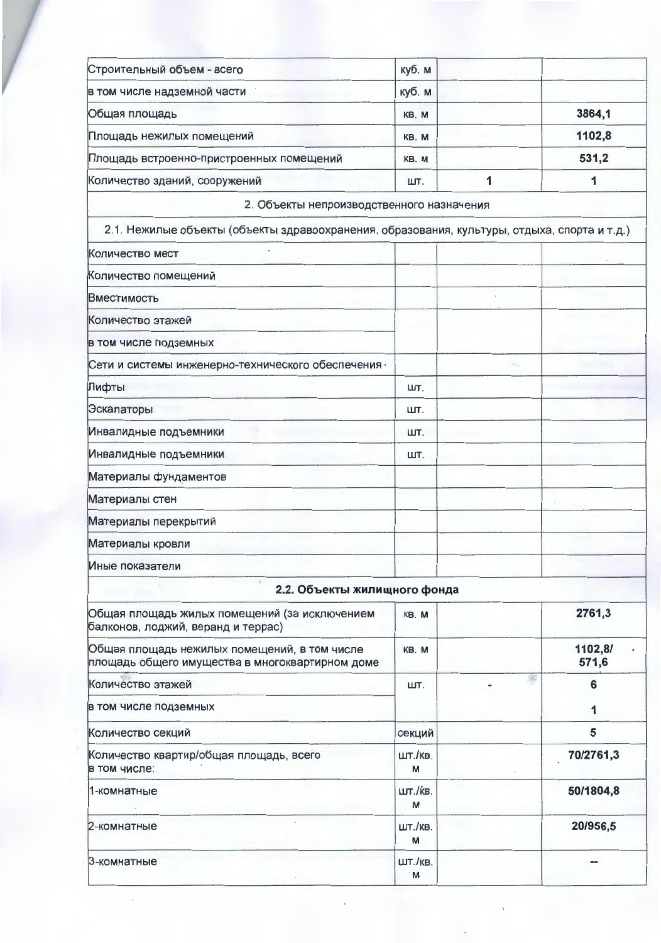| Строительный объем - всего               | куб. м |        |
|------------------------------------------|--------|--------|
| в том числе надземной части              | куб. м |        |
| Общая площадь                            | KB. M  | 3864,1 |
| Площадь нежилых помещений                | KB. M  | 1102,8 |
| Площадь встроенно-пристроенных помещений | KB. M  | 531,2  |
| Количество зданий, сооружений            | ШТ.    |        |

2. Объекты непроизводственного назначения

| Количество мест                                     |     |        |  |
|-----------------------------------------------------|-----|--------|--|
| Количество помещений                                |     |        |  |
| <b>Вместимость</b>                                  |     |        |  |
| Количество этажей                                   |     |        |  |
| в том числе подземных                               |     |        |  |
| Сети и системы инженерно-технического обеспечения - |     | $\sim$ |  |
| Лифты                                               | ШТ. |        |  |
| Эскалаторы                                          | ШТ. |        |  |
| Инвалидные подъемники                               | ШТ. |        |  |
| Инвалидные подъемники                               | ШТ. |        |  |
| Материалы фундаментов                               |     |        |  |
| Материалы стен                                      |     |        |  |
| Материалы перекрытий                                |     |        |  |
| Материалы кровли                                    |     |        |  |
| Иные показатели                                     |     |        |  |

## оъекты жилищного фонда ◢ Ofiuse BROILERL WARLLY ROMANIALINĂ (23 MOVEMMARINAM I  $VD$  M

| Общая площадь жилых помещений (за исключением<br>балконов, лоджий, веранд и террас)             | KB. M         | 2761,3           |
|-------------------------------------------------------------------------------------------------|---------------|------------------|
| Общая площадь нежилых помещений, в том числе<br>площадь общего имущества в многоквартирном доме | KB. M         | 1102,8/<br>571,6 |
| Количество этажей                                                                               | ШТ.           | 6                |
| в том числе подземных                                                                           |               |                  |
| Количество секций                                                                               | секций        | 5                |
| Количество квартир/общая площадь, всего<br>в том числе:                                         | шт./кв.<br>M  | 70/2761,3        |
| 1-комнатные                                                                                     | шт./кв.<br>M  | 50/1804,8        |
| 2-комнатные                                                                                     | ШТ./КВ.<br>M  | 20/956,5         |
| 3-комнатные                                                                                     | ШТ./КВ.<br>M. |                  |

 $\bar{z}$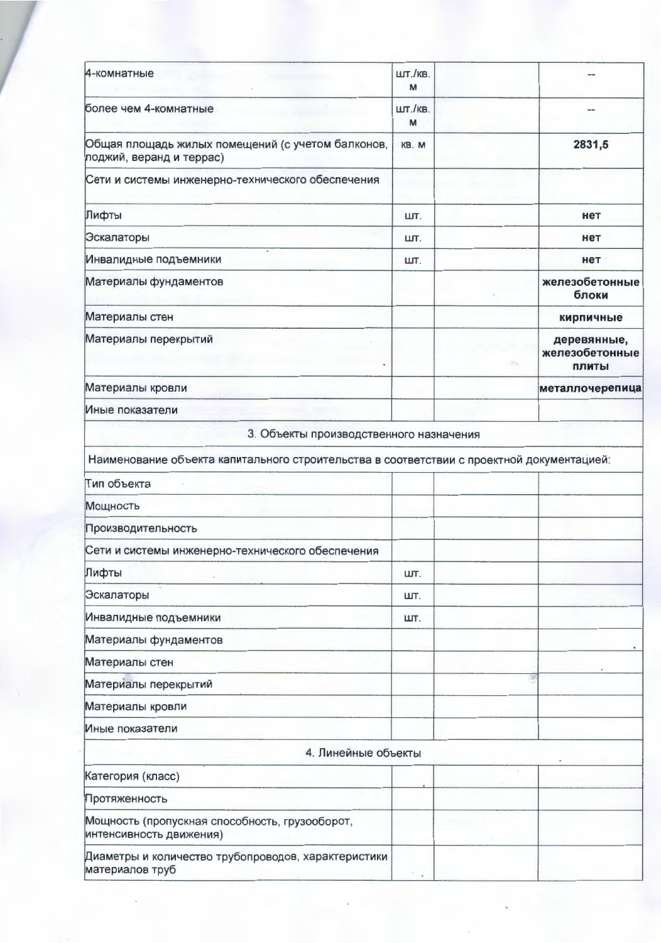| 4-комнатные                                                                               | ШТ./КВ.<br>M |   |                                        |
|-------------------------------------------------------------------------------------------|--------------|---|----------------------------------------|
| более чем 4-комнатные                                                                     | ШТ./КВ.<br>M |   |                                        |
| Общая площадь жилых помещений (с учетом балконов,<br>лоджий, веранд и террас)             | KB. M        |   | 2831,5                                 |
| Сети и системы инженерно-технического обеспечения                                         |              |   |                                        |
| Лифты                                                                                     | ШТ.          |   | нет                                    |
| Эскалаторы                                                                                | ШТ.          |   | нет                                    |
| Инвалидные подъемники                                                                     | ШТ.          |   | нет                                    |
| Материалы фундаментов                                                                     |              |   | железобетонные<br>блоки                |
| Материалы стен                                                                            |              |   | кирпичные                              |
| Материалы перекрытий                                                                      |              | m | деревянные,<br>железобетонные<br>ПЛИТЫ |
| Материалы кровли                                                                          |              |   | металлочерепица                        |
| Иные показатели                                                                           |              |   |                                        |
| 3. Объекты производственного назначения                                                   |              |   |                                        |
| Наименование объекта капитального строительства в соответствии с проектной документацией: |              |   |                                        |
| Тип объекта                                                                               |              |   |                                        |
| Мощность                                                                                  |              |   |                                        |
| Производительность                                                                        |              |   |                                        |
| Сети и системы инженерно-технического обеспечения                                         |              |   |                                        |
| Лифты                                                                                     | ШТ.          |   |                                        |
| Эскалаторы                                                                                | ШТ.          |   |                                        |
| Инвалидные подъемники                                                                     | ШТ.          |   |                                        |
| Материалы фундаментов                                                                     |              |   |                                        |
| Материалы стен                                                                            |              |   |                                        |
| Материалы перекрытий                                                                      |              |   |                                        |
| Материалы кровли                                                                          |              |   |                                        |
| Иные показатели                                                                           |              |   |                                        |
| 4. Линейные объекты                                                                       |              |   |                                        |
| Категория (класс)                                                                         |              |   |                                        |
| Протяженность                                                                             |              |   |                                        |
| Мощность (пропускная способность, грузооборот,<br>интенсивность движения)                 |              |   |                                        |
| Диаметры и количество трубопроводов, характеристики<br>материалов труб                    |              |   |                                        |
|                                                                                           |              |   |                                        |

 $\epsilon$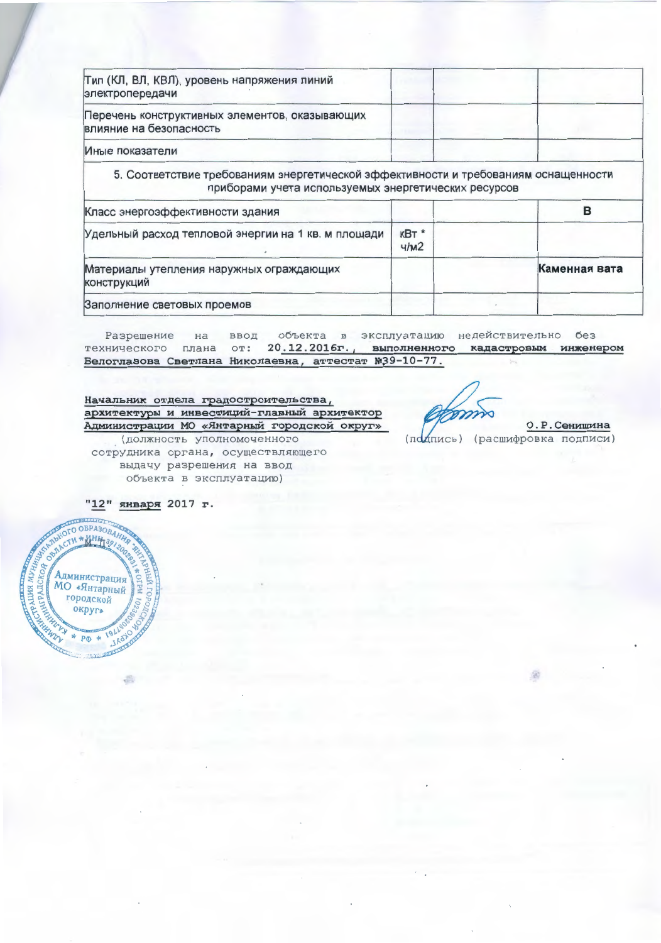| Тип (КЛ, ВЛ, КВЛ), уровень напряжения линий<br>электропередачи                                                                              |              |   |
|---------------------------------------------------------------------------------------------------------------------------------------------|--------------|---|
| Перечень конструктивных элементов, оказывающих<br>влияние на безопасность                                                                   |              |   |
| Иные показатели                                                                                                                             |              |   |
|                                                                                                                                             |              |   |
| 5. Соответствие требованиям энергетической эффективности и требованиям оснащенности<br>приборами учета используемых энергетических ресурсов |              |   |
|                                                                                                                                             |              | в |
| Класс энергоэффективности здания<br>Удельный расход тепловой энергии на 1 кв. м площади                                                     | кВт*<br>4/M2 |   |

Заполнение световых проемов

объекта в эксплуатацию недействительно без Разрешение  $Ha$ ввод технического плана от: 20.12.2016г., выполненного кадастровым инженером Белоглазова Светлана Николаевна, аттестат №39-10-77.

Начальник отдела градостроительства, архитектуры и инвестиций-главный архитектор Администрации МО «Янтарный городской округ» (должность уполномоченного

сотрудника органа, осуществляющего выдачу разрешения на ввод объекта в эксплуатацию)

0. Р. Сенишина (подпись) (расшифровка подписи)

"12" января 2017 г.

a